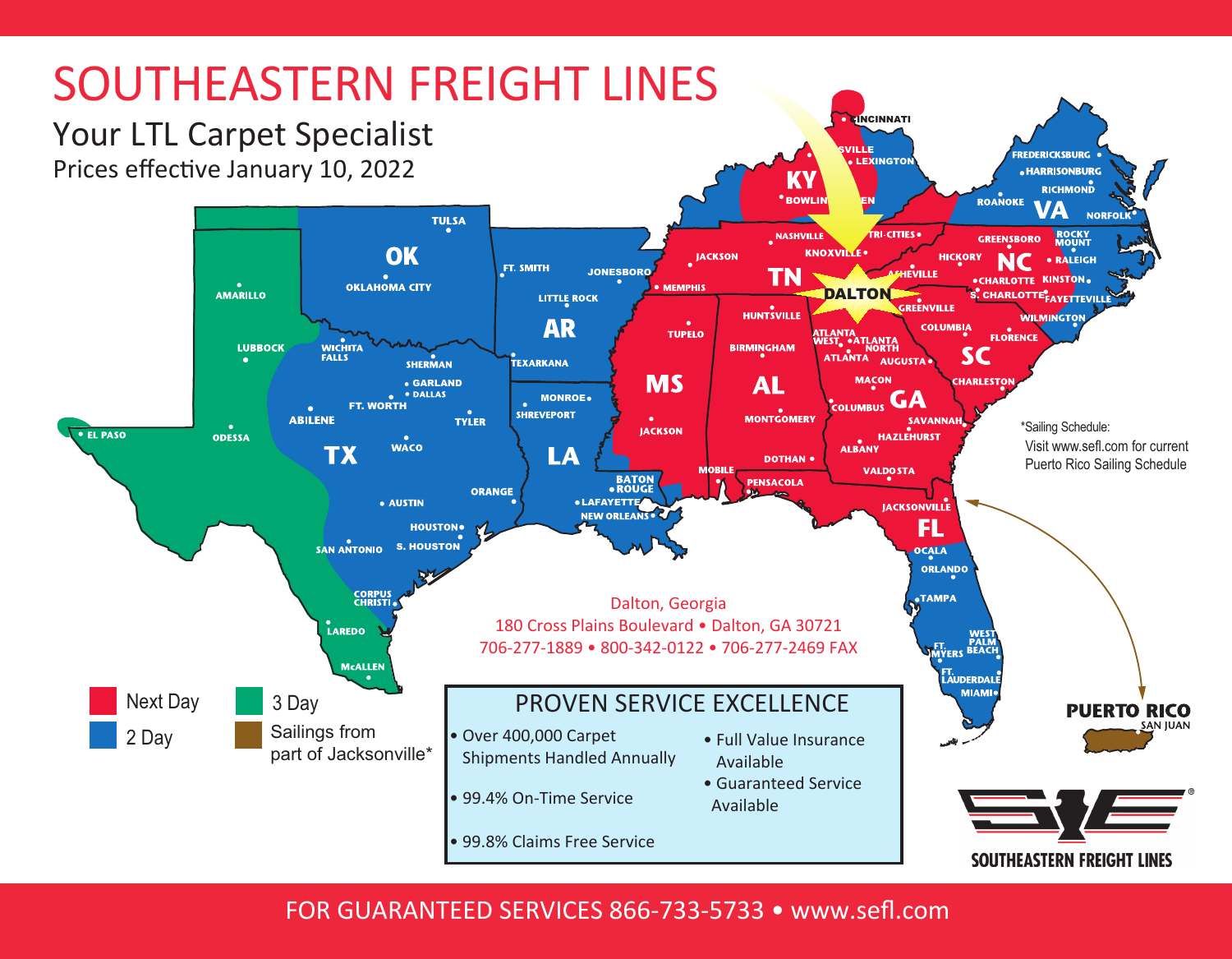

FOR GUARANTEED SERVICES 866-733-5733 • www.sefl.com